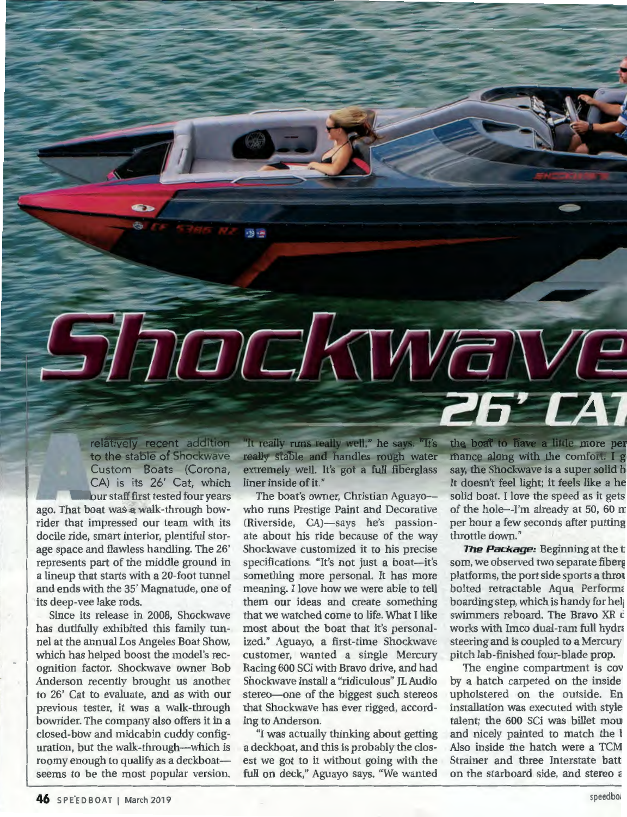

Since its release in 2008, Shockwave has dutifully exhibited this family tunnel at the annual Los Angeles Boat Show, which has helped boost the model's recognition factor. Shockwave owner Bob Anderson recently brought us another to 26' Cat to evaluate, and as with our previous tester, it was a walk-through bowrider. The company also offers it in a closed-bow and midcabin cuddy configuration, but the walk-through-which is roomy enough to qualify as a deckboatseems to be the most popular version.

Racing 600 SCi with Bravo drive, and had Shockwave install a "ridiculous" JL Audio stereo-one of the biggest such stereos that Shockwave has ever rigged, accord-

 $-19 - 69$ 

ing to Anderson. "I was actually thinking about getting a deckboat, and this is probably the closest we got to it without going with the full on deck," Aguayo says. "We wanted

most about the boat that it's personalized." Aguayo, a first-time Shockwave customer, wanted a single Mercury

The boat's owner, Christian Aguayo-

CANTAVE

the boat to have a little more per mance along with the comfort. I go say, the Shockwave is a super solid b It doesn't feel light; it feels like a he solid boat. I love the speed as it gets of the hole-I'm already at 50, 60 m per hour a few seconds after putting throttle down."

**The Package:** Beginning at the t som, we observed two separate fiberg platforms, the port side sports a throu bolted retractable Aqua Performa boarding step, which is handy for help swimmers reboard. The Bravo XR c works with Imco dual-ram full hydra steering and is coupled to a Mercury pitch lab-finished four-blade prop.

The engine compartment is cov by a hatch carpeted on the inside upholstered on the outside. En installation was executed with style talent; the 600 SCi was billet mou and nicely painted to match the 1 Also inside the hatch were a TCM Strainer and three Interstate batt on the starboard side, and stereo c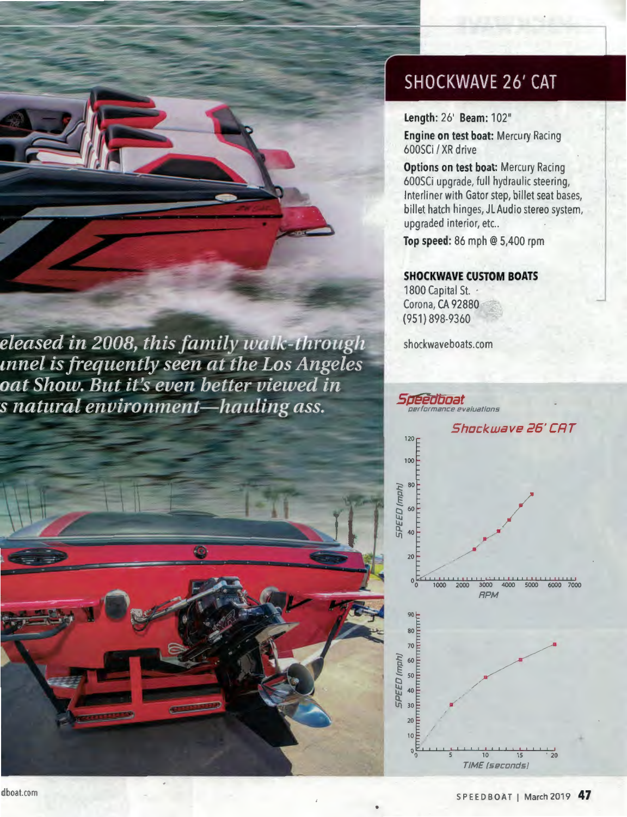



## **SHOCKWAVE 26' CAT**

Length: 26' Beam: 102"

Engine on test boat: Mercury Racing 600SCi / XR drive

Options on test boat: Mercury Racing 600SCi upgrade, full hydraulic steering, Interliner with Gator step, billet seat bases, billet hatch hinges, JL Audio stereo system, upgraded interior, etc..

Top speed: 86 mph @ 5,400 rpm

## **SHOCKWAVE CUSTOM BOATS**

1800 Capital St. . Corona, CA 92880 (951) 898-9360

shockwaveboats.com

*Sdeedboat* 

evaluations Shockwave 26' CAT

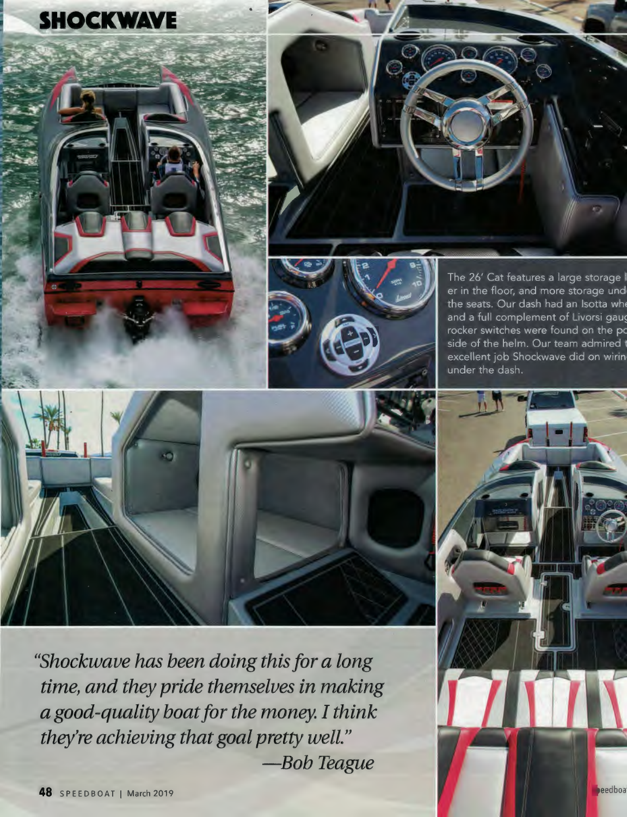





The 26' Cat features a large storage I er in the floor, and more storage und the seats. Our dash had an Isotta whe and a full complement of Livorsi gaug rocker switches were found on the po side of the helm. Our team admired t excellent job Shockwave did on wirin under the dash.



*"Shockwave has been doing this for a long time, and they pride themselves in making a good-quality boat for the money. I think they're achieving that goal pretty well." -Bob Teague*